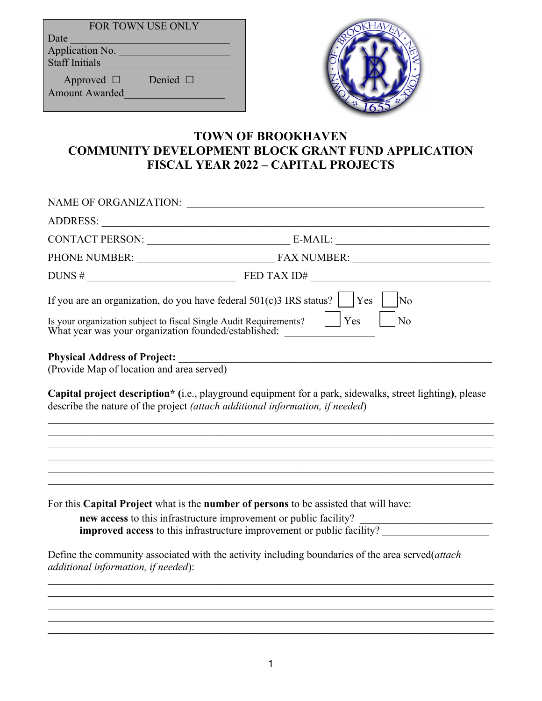| <b>FOR TOWN USE ONLY</b> |  |  |
|--------------------------|--|--|
| Date                     |  |  |
| Application No.          |  |  |
| <b>Staff Initials</b>    |  |  |
| Denied $\Box$            |  |  |
| Approved $\Box$          |  |  |
| <b>Amount Awarded</b>    |  |  |



## **TOWN OF BROOKHAVEN COMMUNITY DEVELOPMENT BLOCK GRANT FUND APPLICATION FISCAL YEAR 2022 – CAPITAL PROJECTS**

|                                                                                                                                                                                                                               | NAME OF ORGANIZATION: $\_\_$                                                                                                                                                                                                         |
|-------------------------------------------------------------------------------------------------------------------------------------------------------------------------------------------------------------------------------|--------------------------------------------------------------------------------------------------------------------------------------------------------------------------------------------------------------------------------------|
| ADDRESS: New York Contract of the Contract of the Contract of the Contract of the Contract of the Contract of the Contract of the Contract of the Contract of the Contract of the Contract of the Contract of the Contract of |                                                                                                                                                                                                                                      |
|                                                                                                                                                                                                                               |                                                                                                                                                                                                                                      |
|                                                                                                                                                                                                                               |                                                                                                                                                                                                                                      |
|                                                                                                                                                                                                                               | $DUNS #$ $FED TAX ID#$ $\qquad \qquad$                                                                                                                                                                                               |
|                                                                                                                                                                                                                               | If you are an organization, do you have federal $501(c)3$ IRS status?   Yes<br>No                                                                                                                                                    |
| Is your organization subject to fiscal Single Audit Requirements?                                                                                                                                                             | Yes<br>No<br>What year was your organization founded/established:                                                                                                                                                                    |
| (Provide Map of location and area served)                                                                                                                                                                                     |                                                                                                                                                                                                                                      |
|                                                                                                                                                                                                                               | Capital project description* (i.e., playground equipment for a park, sidewalks, street lighting), please<br>describe the nature of the project (attach additional information, if needed)                                            |
|                                                                                                                                                                                                                               |                                                                                                                                                                                                                                      |
|                                                                                                                                                                                                                               | ,我们也不能在这里的时候,我们也不能在这里的时候,我们也不能会在这里的时候,我们也不能会在这里的时候,我们也不能会在这里的时候,我们也不能会在这里的时候,我们也不                                                                                                                                                    |
|                                                                                                                                                                                                                               | For this Capital Project what is the number of persons to be assisted that will have:<br>new access to this infrastructure improvement or public facility?<br>improved access to this infrastructure improvement or public facility? |
|                                                                                                                                                                                                                               | Define the community associated with the activity including boundaries of the area served(attach                                                                                                                                     |

*additional information, if needed*):

\_\_\_\_\_\_\_\_\_\_\_\_\_\_\_\_\_\_\_\_\_\_\_\_\_\_\_\_\_\_\_\_\_\_\_\_\_\_\_\_\_\_\_\_\_\_\_\_\_\_\_\_\_\_\_\_\_\_\_\_\_\_\_\_\_\_\_\_\_\_\_\_\_\_\_\_\_\_\_\_\_\_\_\_

\_\_\_\_\_\_\_\_\_\_\_\_\_\_\_\_\_\_\_\_\_\_\_\_\_\_\_\_\_\_\_\_\_\_\_\_\_\_\_\_\_\_\_\_\_\_\_\_\_\_\_\_\_\_\_\_\_\_\_\_\_\_\_\_\_\_\_\_\_\_\_\_\_\_\_\_\_\_\_\_\_\_\_\_  $\_$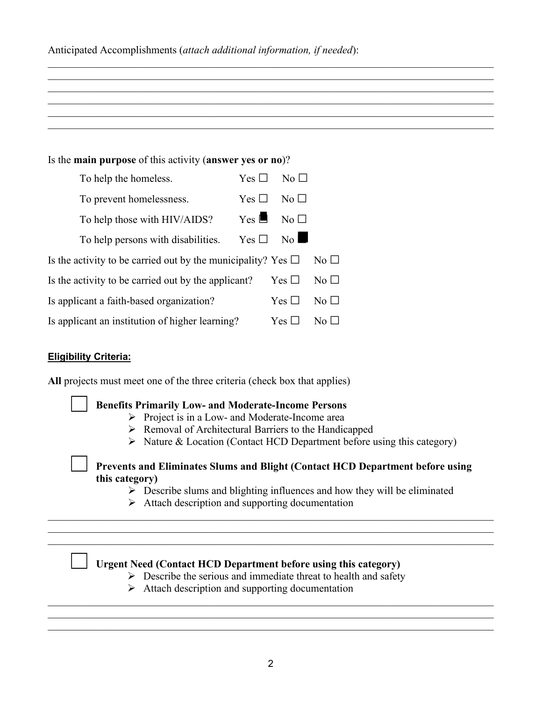| Anticipated Accomplishments (attach additional information, if needed): |  |  |
|-------------------------------------------------------------------------|--|--|
|                                                                         |  |  |

| Is the main purpose of this activity (answer yes or no)?          |                    |                 |                    |
|-------------------------------------------------------------------|--------------------|-----------------|--------------------|
| To help the homeless.                                             | Yes $\Box$         | No <sub>1</sub> |                    |
| To prevent homelessness.                                          | Yes $\Box$         | $\rm No \ \Box$ |                    |
| To help those with HIV/AIDS?                                      | $Yes \blacksquare$ | $No$ $\square$  |                    |
| To help persons with disabilities.                                | Yes $\Box$         | No              |                    |
| Is the activity to be carried out by the municipality? Yes $\Box$ |                    |                 | $\rm No \ \square$ |
| Is the activity to be carried out by the applicant?               |                    | Yes $\Box$      | No $\Box$          |
| Is applicant a faith-based organization?                          |                    | Yes $\Box$      | No $\Box$          |
| Is applicant an institution of higher learning?                   |                    | Yes $\Box$      | No $\Box$          |

 $\_$  , and the set of the set of the set of the set of the set of the set of the set of the set of the set of the set of the set of the set of the set of the set of the set of the set of the set of the set of the set of th  $\_$  , and the state of the state of the state of the state of the state of the state of the state of the state of the state of the state of the state of the state of the state of the state of the state of the state of the

### **Eligibility Criteria:**

**All** projects must meet one of the three criteria (check box that applies)

| <b>Benefits Primarily Low- and Moderate-Income Persons</b><br>$\triangleright$ Project is in a Low- and Moderate-Income area<br>> Removal of Architectural Barriers to the Handicapped<br>$\triangleright$ Nature & Location (Contact HCD Department before using this category) |  |
|----------------------------------------------------------------------------------------------------------------------------------------------------------------------------------------------------------------------------------------------------------------------------------|--|
| Prevents and Eliminates Slums and Blight (Contact HCD Department before using<br>this category)<br>$\triangleright$ Describe slums and blighting influences and how they will be eliminated<br>$\triangleright$ Attach description and supporting documentation                  |  |
|                                                                                                                                                                                                                                                                                  |  |
| <b>Urgent Need (Contact HCD Department before using this category)</b><br>$\triangleright$ Describe the serious and immediate threat to health and safety<br>$\triangleright$ Attach description and supporting documentation                                                    |  |

 $\_$  , and the set of the set of the set of the set of the set of the set of the set of the set of the set of the set of the set of the set of the set of the set of the set of the set of the set of the set of the set of th